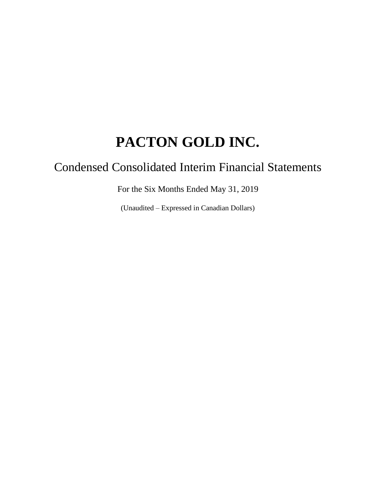# Condensed Consolidated Interim Financial Statements

For the Six Months Ended May 31, 2019

(Unaudited – Expressed in Canadian Dollars)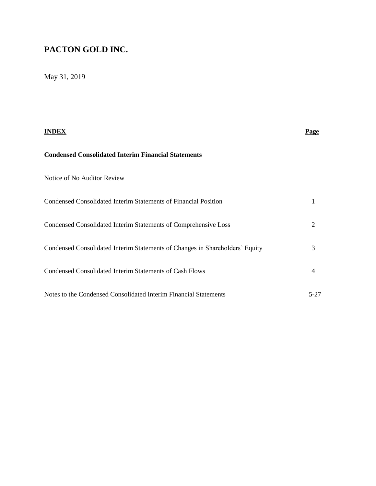# May 31, 2019

| INDEX                                                                        | Page |
|------------------------------------------------------------------------------|------|
| <b>Condensed Consolidated Interim Financial Statements</b>                   |      |
| Notice of No Auditor Review                                                  |      |
| Condensed Consolidated Interim Statements of Financial Position              |      |
| Condensed Consolidated Interim Statements of Comprehensive Loss              | 2    |
| Condensed Consolidated Interim Statements of Changes in Shareholders' Equity | 3    |
| <b>Condensed Consolidated Interim Statements of Cash Flows</b>               | 4    |
| Notes to the Condensed Consolidated Interim Financial Statements             | 5-27 |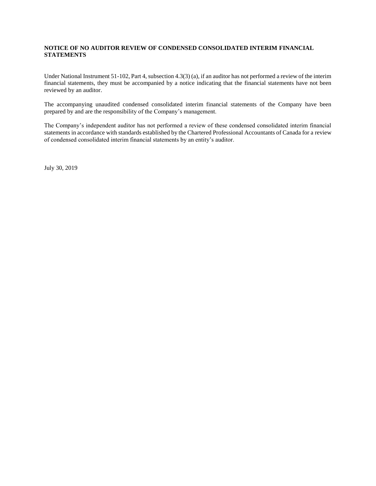#### **NOTICE OF NO AUDITOR REVIEW OF CONDENSED CONSOLIDATED INTERIM FINANCIAL STATEMENTS**

Under National Instrument 51-102, Part 4, subsection 4.3(3) (a), if an auditor has not performed a review of the interim financial statements, they must be accompanied by a notice indicating that the financial statements have not been reviewed by an auditor.

The accompanying unaudited condensed consolidated interim financial statements of the Company have been prepared by and are the responsibility of the Company's management.

The Company's independent auditor has not performed a review of these condensed consolidated interim financial statements in accordance with standards established by the Chartered Professional Accountants of Canada for a review of condensed consolidated interim financial statements by an entity's auditor.

July 30, 2019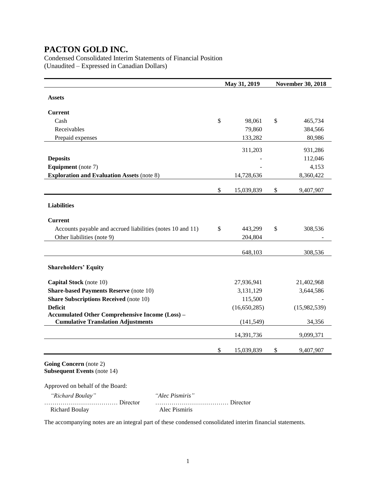Condensed Consolidated Interim Statements of Financial Position (Unaudited – Expressed in Canadian Dollars)

|                                                                                                     |               | May 31, 2019 | <b>November 30, 2018</b> |
|-----------------------------------------------------------------------------------------------------|---------------|--------------|--------------------------|
| <b>Assets</b>                                                                                       |               |              |                          |
| <b>Current</b>                                                                                      |               |              |                          |
| Cash                                                                                                | $\mathcal{S}$ | 98,061       | \$<br>465,734            |
| Receivables                                                                                         |               | 79,860       | 384,566                  |
| Prepaid expenses                                                                                    |               | 133,282      | 80,986                   |
|                                                                                                     |               | 311,203      | 931,286                  |
| <b>Deposits</b>                                                                                     |               |              | 112,046                  |
| <b>Equipment</b> (note 7)                                                                           |               |              | 4,153                    |
| <b>Exploration and Evaluation Assets (note 8)</b>                                                   |               | 14,728,636   | 8,360,422                |
|                                                                                                     | \$            | 15,039,839   | \$<br>9,407,907          |
| <b>Liabilities</b>                                                                                  |               |              |                          |
| <b>Current</b>                                                                                      |               |              |                          |
| Accounts payable and accrued liabilities (notes 10 and 11)                                          | \$            | 443,299      | \$<br>308,536            |
| Other liabilities (note 9)                                                                          |               | 204,804      |                          |
|                                                                                                     |               | 648,103      | 308,536                  |
| <b>Shareholders' Equity</b>                                                                         |               |              |                          |
| Capital Stock (note 10)                                                                             |               | 27,936,941   | 21,402,968               |
| <b>Share-based Payments Reserve (note 10)</b>                                                       |               | 3,131,129    | 3,644,586                |
| <b>Share Subscriptions Received</b> (note 10)                                                       |               | 115,500      |                          |
| <b>Deficit</b>                                                                                      |               | (16,650,285) | (15,982,539)             |
| <b>Accumulated Other Comprehensive Income (Loss) -</b><br><b>Cumulative Translation Adjustments</b> |               | (141, 549)   | 34,356                   |
|                                                                                                     |               | 14,391,736   | 9,099,371                |
|                                                                                                     | \$            | 15,039,839   | \$<br>9,407,907          |
| Going Concern (note 2)<br><b>Subsequent Events (note 14)</b>                                        |               |              |                          |
| Approved on behalf of the Board:                                                                    |               |              |                          |
| "Richard Boulay"<br>"Alec Pismiris"                                                                 |               |              |                          |

The accompanying notes are an integral part of these condensed consolidated interim financial statements.

……………………………… Director ……………………………… Director

Richard Boulay Alec Pismiris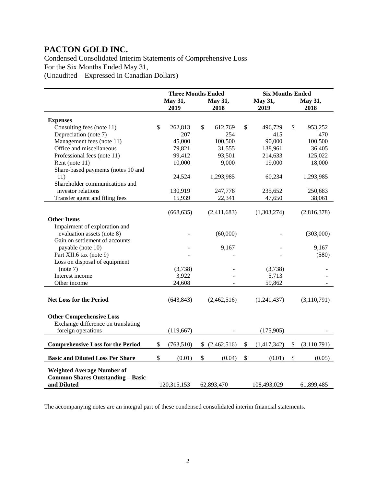Condensed Consolidated Interim Statements of Comprehensive Loss For the Six Months Ended May 31,

(Unaudited – Expressed in Canadian Dollars)

|                                          |              | <b>Three Months Ended</b> |                   | <b>Six Months Ended</b> |             |    |               |  |  |
|------------------------------------------|--------------|---------------------------|-------------------|-------------------------|-------------|----|---------------|--|--|
|                                          |              | May 31,                   | May 31,           |                         | May 31,     |    | May 31,       |  |  |
|                                          |              | 2019                      | 2018              |                         | 2019        |    | 2018          |  |  |
| <b>Expenses</b>                          |              |                           |                   |                         |             |    |               |  |  |
| Consulting fees (note 11)                | $\mathbb{S}$ | 262,813                   | \$<br>612,769     | \$                      | 496,729     | \$ | 953,252       |  |  |
| Depreciation (note 7)                    |              | 207                       | 254               |                         | 415         |    | 470           |  |  |
| Management fees (note 11)                |              | 45,000                    | 100,500           |                         | 90,000      |    | 100,500       |  |  |
| Office and miscellaneous                 |              | 79,821                    | 31,555            |                         | 138,961     |    | 36,405        |  |  |
| Professional fees (note 11)              |              | 99,412                    | 93,501            |                         | 214,633     |    | 125,022       |  |  |
|                                          |              |                           |                   |                         |             |    |               |  |  |
| Rent (note 11)                           |              | 10,000                    | 9,000             |                         | 19,000      |    | 18,000        |  |  |
| Share-based payments (notes 10 and       |              |                           |                   |                         |             |    |               |  |  |
| 11)                                      |              | 24,524                    | 1,293,985         |                         | 60,234      |    | 1,293,985     |  |  |
| Shareholder communications and           |              |                           |                   |                         |             |    |               |  |  |
| investor relations                       |              | 130,919                   | 247,778           |                         | 235,652     |    | 250,683       |  |  |
| Transfer agent and filing fees           |              | 15,939                    | 22,341            |                         | 47,650      |    | 38,061        |  |  |
|                                          |              |                           |                   |                         |             |    |               |  |  |
|                                          |              | (668, 635)                | (2,411,683)       |                         | (1,303,274) |    | (2,816,378)   |  |  |
| <b>Other Items</b>                       |              |                           |                   |                         |             |    |               |  |  |
| Impairment of exploration and            |              |                           |                   |                         |             |    |               |  |  |
| evaluation assets (note 8)               |              |                           | (60,000)          |                         |             |    | (303,000)     |  |  |
| Gain on settlement of accounts           |              |                           |                   |                         |             |    |               |  |  |
| payable (note 10)                        |              |                           | 9,167             |                         |             |    | 9,167         |  |  |
| Part XII.6 tax (note 9)                  |              |                           |                   |                         |             |    | (580)         |  |  |
| Loss on disposal of equipment            |              |                           |                   |                         |             |    |               |  |  |
| (note 7)                                 |              | (3,738)                   |                   |                         | (3,738)     |    |               |  |  |
| Interest income                          |              | 3,922                     |                   |                         | 5,713       |    |               |  |  |
| Other income                             |              | 24,608                    |                   |                         | 59,862      |    |               |  |  |
|                                          |              |                           |                   |                         |             |    |               |  |  |
| <b>Net Loss for the Period</b>           |              | (643, 843)                | (2,462,516)       |                         | (1,241,437) |    | (3,110,791)   |  |  |
|                                          |              |                           |                   |                         |             |    |               |  |  |
|                                          |              |                           |                   |                         |             |    |               |  |  |
| <b>Other Comprehensive Loss</b>          |              |                           |                   |                         |             |    |               |  |  |
| Exchange difference on translating       |              |                           |                   |                         |             |    |               |  |  |
| foreign operations                       |              | (119, 667)                |                   |                         | (175,905)   |    |               |  |  |
|                                          |              |                           |                   |                         |             |    |               |  |  |
| <b>Comprehensive Loss for the Period</b> | \$           | (763, 510)                | \$<br>(2,462,516) | $\$$                    | (1,417,342) | \$ | (3, 110, 791) |  |  |
| <b>Basic and Diluted Loss Per Share</b>  | \$           | (0.01)                    | \$<br>(0.04)      | \$                      | (0.01)      | \$ | (0.05)        |  |  |
|                                          |              |                           |                   |                         |             |    |               |  |  |
| <b>Weighted Average Number of</b>        |              |                           |                   |                         |             |    |               |  |  |
| <b>Common Shares Outstanding - Basic</b> |              |                           |                   |                         |             |    |               |  |  |
| and Diluted                              |              | 120,315,153               | 62,893,470        |                         | 108,493,029 |    | 61,899,485    |  |  |

The accompanying notes are an integral part of these condensed consolidated interim financial statements.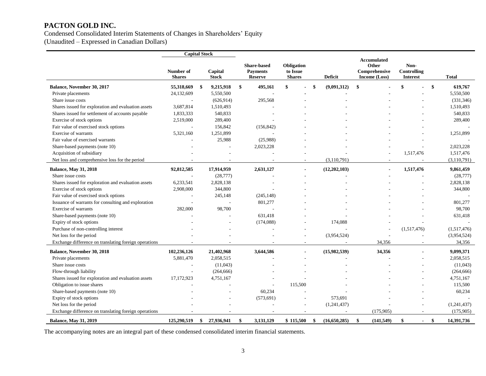Condensed Consolidated Interim Statements of Changes in Shareholders' Equity

(Unaudited – Expressed in Canadian Dollars)

|                                                       | <b>Capital Stock</b>       |                         |                                                         |                                         |                    |                                                               |                                               |                |                  |
|-------------------------------------------------------|----------------------------|-------------------------|---------------------------------------------------------|-----------------------------------------|--------------------|---------------------------------------------------------------|-----------------------------------------------|----------------|------------------|
|                                                       | Number of<br><b>Shares</b> | Capital<br><b>Stock</b> | <b>Share-based</b><br><b>Payments</b><br><b>Reserve</b> | Obligation<br>to Issue<br><b>Shares</b> | Deficit            | <b>Accumulated</b><br>Other<br>Comprehensive<br>Income (Loss) | Non-<br><b>Controlling</b><br><b>Interest</b> |                | <b>Total</b>     |
| Balance, November 30, 2017                            | 55,318,669                 | \$<br>9,215,918         | \$<br>495,161                                           | \$                                      | \$<br>(9,091,312)  | \$                                                            | \$                                            |                | \$<br>619,767    |
| Private placements                                    | 24,132,609                 | 5,550,500               |                                                         |                                         |                    |                                                               |                                               |                | 5,550,500        |
| Share issue costs                                     |                            | (626, 914)              | 295,568                                                 |                                         |                    |                                                               |                                               |                | (331, 346)       |
| Shares issued for exploration and evaluation assets   | 3,687,814                  | 1,510,493               |                                                         |                                         |                    |                                                               |                                               |                | 1,510,493        |
| Shares issued for settlement of accounts payable      | 1,833,333                  | 540,833                 |                                                         |                                         |                    |                                                               |                                               |                | 540,833          |
| Exercise of stock options                             | 2,519,000                  | 289,400                 |                                                         |                                         |                    |                                                               |                                               |                | 289,400          |
| Fair value of exercised stock options                 |                            | 156,842                 | (156, 842)                                              |                                         |                    |                                                               |                                               |                |                  |
| Exercise of warrants                                  | 5,321,160                  | 1,251,899               |                                                         |                                         |                    |                                                               |                                               |                | 1,251,899        |
| Fair value of exercised warrants                      |                            | 25,988                  | (25,988)                                                |                                         |                    |                                                               |                                               |                |                  |
| Share-based payments (note 10)                        |                            |                         | 2,023,228                                               |                                         |                    |                                                               |                                               |                | 2,023,228        |
| Acquisition of subsidiary                             |                            |                         |                                                         |                                         |                    |                                                               | 1,517,476                                     |                | 1,517,476        |
| Net loss and comprehensive loss for the period        |                            |                         |                                                         |                                         | (3,110,791)        |                                                               |                                               |                | (3,110,791)      |
| <b>Balance, May 31, 2018</b>                          | 92,812,585                 | 17,914,959              | 2,631,127                                               |                                         | (12,202,103)       | $\blacksquare$                                                | 1,517,476                                     |                | 9,861,459        |
| Share issue costs                                     |                            | (28, 777)               |                                                         |                                         |                    |                                                               |                                               |                | (28, 777)        |
| Shares issued for exploration and evaluation assets   | 6,233,541                  | 2,828,138               |                                                         |                                         |                    |                                                               |                                               |                | 2,828,138        |
| Exercise of stock options                             | 2,908,000                  | 344,800                 |                                                         |                                         |                    |                                                               |                                               |                | 344,800          |
| Fair value of exercised stock options                 |                            | 245,148                 | (245, 148)                                              |                                         |                    |                                                               |                                               |                |                  |
| Issuance of warrants for consulting and exploration   |                            |                         | 801,277                                                 |                                         |                    |                                                               |                                               |                | 801,277          |
| Exercise of warrants                                  | 282,000                    | 98,700                  |                                                         |                                         |                    |                                                               |                                               |                | 98,700           |
| Share-based payments (note 10)                        |                            |                         | 631,418                                                 |                                         |                    |                                                               |                                               |                | 631,418          |
| Expiry of stock options                               |                            |                         | (174,088)                                               |                                         | 174,088            |                                                               |                                               |                |                  |
| Purchase of non-controlling interest                  |                            |                         |                                                         |                                         |                    |                                                               | (1,517,476)                                   |                | (1,517,476)      |
| Net loss for the period                               |                            |                         |                                                         |                                         | (3,954,524)        |                                                               |                                               |                | (3,954,524)      |
| Exchange difference on translating foreign operations |                            |                         |                                                         |                                         |                    | 34,356                                                        |                                               |                | 34,356           |
| Balance, November 30, 2018                            | 102,236,126                | 21,402,968              | 3,644,586                                               |                                         | (15,982,539)       | 34,356                                                        |                                               | $\blacksquare$ | 9,099,371        |
| Private placements                                    | 5,881,470                  | 2,058,515               |                                                         |                                         |                    |                                                               |                                               |                | 2,058,515        |
| Share issue costs                                     |                            | (11,043)                |                                                         |                                         |                    |                                                               |                                               |                | (11,043)         |
| Flow-through liability                                |                            | (264, 666)              |                                                         |                                         |                    |                                                               |                                               |                | (264, 666)       |
| Shares issued for exploration and evaluation assets   | 17,172,923                 | 4,751,167               |                                                         |                                         |                    |                                                               |                                               |                | 4,751,167        |
| Obligation to issue shares                            |                            |                         |                                                         | 115,500                                 |                    |                                                               |                                               |                | 115,500          |
| Share-based payments (note 10)                        |                            |                         | 60,234                                                  |                                         |                    |                                                               |                                               |                | 60,234           |
| Expiry of stock options                               |                            |                         | (573, 691)                                              |                                         | 573,691            |                                                               |                                               |                |                  |
| Net loss for the period                               |                            |                         |                                                         |                                         | (1,241,437)        |                                                               |                                               |                | (1,241,437)      |
| Exchange difference on translating foreign operations |                            |                         |                                                         | $\sim$                                  |                    | (175,905)                                                     |                                               | $\overline{a}$ | (175,905)        |
| <b>Balance, May 31, 2019</b>                          | 125,290,519                | \$<br>27,936,941        | \$<br>3,131,129                                         | \$115,500                               | \$<br>(16,650,285) | \$<br>(141, 549)                                              | \$                                            | $\blacksquare$ | \$<br>14,391,736 |

The accompanying notes are an integral part of these condensed consolidated interim financial statements.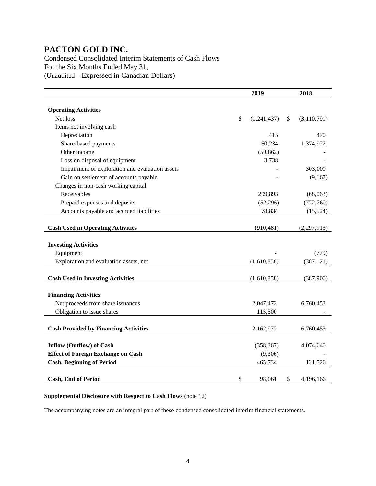Condensed Consolidated Interim Statements of Cash Flows For the Six Months Ended May 31, (Unaudited – Expressed in Canadian Dollars)

|                                                 | 2019              | 2018                |
|-------------------------------------------------|-------------------|---------------------|
|                                                 |                   |                     |
| <b>Operating Activities</b>                     |                   |                     |
| Net loss                                        | \$<br>(1,241,437) | \$<br>(3, 110, 791) |
| Items not involving cash                        |                   |                     |
| Depreciation                                    | 415               | 470                 |
| Share-based payments                            | 60,234            | 1,374,922           |
| Other income                                    | (59, 862)         |                     |
| Loss on disposal of equipment                   | 3,738             |                     |
| Impairment of exploration and evaluation assets |                   | 303,000             |
| Gain on settlement of accounts payable          |                   | (9,167)             |
| Changes in non-cash working capital             |                   |                     |
| Receivables                                     | 299,893           | (68,063)            |
| Prepaid expenses and deposits                   | (52, 296)         | (772,760)           |
| Accounts payable and accrued liabilities        | 78,834            | (15,524)            |
|                                                 |                   |                     |
| <b>Cash Used in Operating Activities</b>        | (910, 481)        | (2,297,913)         |
|                                                 |                   |                     |
| <b>Investing Activities</b>                     |                   |                     |
| Equipment                                       |                   | (779)               |
| Exploration and evaluation assets, net          | (1,610,858)       | (387, 121)          |
| <b>Cash Used in Investing Activities</b>        | (1,610,858)       | (387,900)           |
|                                                 |                   |                     |
| <b>Financing Activities</b>                     |                   |                     |
| Net proceeds from share issuances               | 2,047,472         | 6,760,453           |
| Obligation to issue shares                      | 115,500           |                     |
| <b>Cash Provided by Financing Activities</b>    | 2,162,972         | 6,760,453           |
|                                                 |                   |                     |
| <b>Inflow (Outflow) of Cash</b>                 | (358, 367)        | 4,074,640           |
| <b>Effect of Foreign Exchange on Cash</b>       | (9,306)           |                     |
| <b>Cash, Beginning of Period</b>                | 465,734           | 121,526             |
|                                                 |                   |                     |
| <b>Cash, End of Period</b>                      | \$<br>98,061      | \$<br>4,196,166     |

#### **Supplemental Disclosure with Respect to Cash Flows** (note 12)

The accompanying notes are an integral part of these condensed consolidated interim financial statements.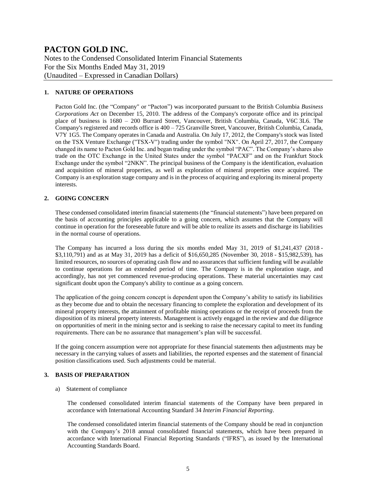Notes to the Condensed Consolidated Interim Financial Statements For the Six Months Ended May 31, 2019 (Unaudited – Expressed in Canadian Dollars)

#### **1. NATURE OF OPERATIONS**

Pacton Gold Inc. (the "Company" or "Pacton") was incorporated pursuant to the British Columbia *Business Corporations Act* on December 15, 2010. The address of the Company's corporate office and its principal place of business is 1680 – 200 Burrard Street, Vancouver, British Columbia, Canada, V6C 3L6. The Company's registered and records office is  $400 - 725$  Granville Street, Vancouver, British Columbia, Canada, V7Y 1G5. The Company operates in Canada and Australia. On July 17, 2012, the Company's stock was listed on the TSX Venture Exchange ("TSX-V") trading under the symbol "NX". On April 27, 2017, the Company changed its name to Pacton Gold Inc. and began trading under the symbol "PAC". The Company's shares also trade on the OTC Exchange in the United States under the symbol "PACXF" and on the Frankfurt Stock Exchange under the symbol "2NKN". The principal business of the Company is the identification, evaluation and acquisition of mineral properties, as well as exploration of mineral properties once acquired. The Company is an exploration stage company and is in the process of acquiring and exploring its mineral property interests.

#### **2. GOING CONCERN**

These condensed consolidated interim financial statements (the "financial statements") have been prepared on the basis of accounting principles applicable to a going concern, which assumes that the Company will continue in operation for the foreseeable future and will be able to realize its assets and discharge its liabilities in the normal course of operations.

The Company has incurred a loss during the six months ended May 31, 2019 of \$1,241,437 (2018 - \$3,110,791) and as at May 31, 2019 has a deficit of \$16,650,285 (November 30, 2018 - \$15,982,539), has limited resources, no sources of operating cash flow and no assurances that sufficient funding will be available to continue operations for an extended period of time. The Company is in the exploration stage, and accordingly, has not yet commenced revenue-producing operations. These material uncertainties may cast significant doubt upon the Company's ability to continue as a going concern.

The application of the going concern concept is dependent upon the Company's ability to satisfy its liabilities as they become due and to obtain the necessary financing to complete the exploration and development of its mineral property interests, the attainment of profitable mining operations or the receipt of proceeds from the disposition of its mineral property interests. Management is actively engaged in the review and due diligence on opportunities of merit in the mining sector and is seeking to raise the necessary capital to meet its funding requirements. There can be no assurance that management's plan will be successful.

If the going concern assumption were not appropriate for these financial statements then adjustments may be necessary in the carrying values of assets and liabilities, the reported expenses and the statement of financial position classifications used. Such adjustments could be material.

#### **3. BASIS OF PREPARATION**

#### a) Statement of compliance

The condensed consolidated interim financial statements of the Company have been prepared in accordance with International Accounting Standard 34 *Interim Financial Reporting*.

The condensed consolidated interim financial statements of the Company should be read in conjunction with the Company's 2018 annual consolidated financial statements, which have been prepared in accordance with International Financial Reporting Standards ("IFRS"), as issued by the International Accounting Standards Board.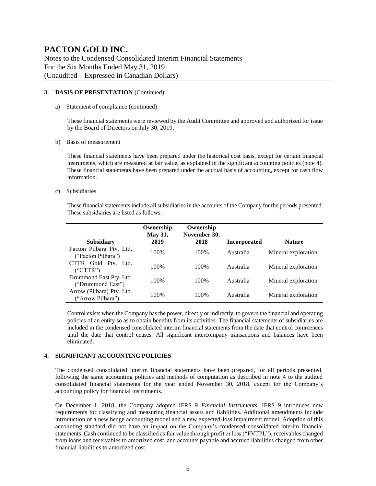Notes to the Condensed Consolidated Interim Financial Statements For the Six Months Ended May 31, 2019 (Unaudited – Expressed in Canadian Dollars)

#### **3. BASIS OF PRESENTATION** (Continued)

a) Statement of compliance (continued)

These financial statements were reviewed by the Audit Committee and approved and authorized for issue by the Board of Directors on July 30, 2019.

b) Basis of measurement

These financial statements have been prepared under the historical cost basis, except for certain financial instruments, which are measured at fair value, as explained in the significant accounting policies (note 4). These financial statements have been prepared under the accrual basis of accounting, except for cash flow information.

c) Subsidiaries

These financial statements include all subsidiaries in the accounts of the Company for the periods presented. These subsidiaries are listed as follows:

|                                                | Ownership<br>May 31, | Ownership<br>November 30, |                     |                     |
|------------------------------------------------|----------------------|---------------------------|---------------------|---------------------|
| <b>Subsidiary</b>                              | 2019                 | 2018                      | <b>Incorporated</b> | <b>Nature</b>       |
| Pacton Pilbara Pty. Ltd.<br>("Pacton Pilbara") | 100%                 | 100%                      | Australia           | Mineral exploration |
| CTTR Gold Pty. Ltd.<br>("CTTR")                | 100\%                | 100\%                     | Australia           | Mineral exploration |
| Drummond East Pty. Ltd.<br>("Drummond East")   | 100\%                | 100\%                     | Australia           | Mineral exploration |
| Arrow (Pilbara) Pty. Ltd.<br>("Arrow Pilbara") | 100%                 | 100%                      | Australia           | Mineral exploration |

Control exists when the Company has the power, directly or indirectly, to govern the financial and operating policies of an entity so as to obtain benefits from its activities. The financial statements of subsidiaries are included in the condensed consolidated interim financial statements from the date that control commences until the date that control ceases. All significant intercompany transactions and balances have been eliminated.

#### **4. SIGNIFICANT ACCOUNTING POLICIES**

The condensed consolidated interim financial statements have been prepared, for all periods presented, following the same accounting policies and methods of computation as described in note 4 to the audited consolidated financial statements for the year ended November 30, 2018, except for the Company's accounting policy for financial instruments.

On December 1, 2018, the Company adopted IFRS 9 *Financial Instruments*. IFRS 9 introduces new requirements for classifying and measuring financial assets and liabilities. Additional amendments include introduction of a new hedge accounting model and a new expected-loss impairment model. Adoption of this accounting standard did not have an impact on the Company's condensed consolidated interim financial statements. Cash continued to be classified as fair value through profit or loss ("FVTPL"), receivables changed from loans and receivables to amortized cost, and accounts payable and accrued liabilities changed from other financial liabilities to amortized cost.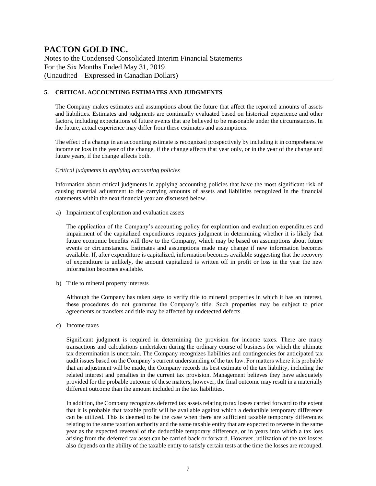Notes to the Condensed Consolidated Interim Financial Statements For the Six Months Ended May 31, 2019 (Unaudited – Expressed in Canadian Dollars)

#### **5. CRITICAL ACCOUNTING ESTIMATES AND JUDGMENTS**

The Company makes estimates and assumptions about the future that affect the reported amounts of assets and liabilities. Estimates and judgments are continually evaluated based on historical experience and other factors, including expectations of future events that are believed to be reasonable under the circumstances. In the future, actual experience may differ from these estimates and assumptions.

The effect of a change in an accounting estimate is recognized prospectively by including it in comprehensive income or loss in the year of the change, if the change affects that year only, or in the year of the change and future years, if the change affects both.

#### *Critical judgments in applying accounting policies*

Information about critical judgments in applying accounting policies that have the most significant risk of causing material adjustment to the carrying amounts of assets and liabilities recognized in the financial statements within the next financial year are discussed below.

a) Impairment of exploration and evaluation assets

The application of the Company's accounting policy for exploration and evaluation expenditures and impairment of the capitalized expenditures requires judgment in determining whether it is likely that future economic benefits will flow to the Company, which may be based on assumptions about future events or circumstances. Estimates and assumptions made may change if new information becomes available. If, after expenditure is capitalized, information becomes available suggesting that the recovery of expenditure is unlikely, the amount capitalized is written off in profit or loss in the year the new information becomes available.

b) Title to mineral property interests

Although the Company has taken steps to verify title to mineral properties in which it has an interest, these procedures do not guarantee the Company's title. Such properties may be subject to prior agreements or transfers and title may be affected by undetected defects.

c) Income taxes

Significant judgment is required in determining the provision for income taxes. There are many transactions and calculations undertaken during the ordinary course of business for which the ultimate tax determination is uncertain. The Company recognizes liabilities and contingencies for anticipated tax audit issues based on the Company's current understanding of the tax law. For matters where it is probable that an adjustment will be made, the Company records its best estimate of the tax liability, including the related interest and penalties in the current tax provision. Management believes they have adequately provided for the probable outcome of these matters; however, the final outcome may result in a materially different outcome than the amount included in the tax liabilities.

In addition, the Company recognizes deferred tax assets relating to tax losses carried forward to the extent that it is probable that taxable profit will be available against which a deductible temporary difference can be utilized. This is deemed to be the case when there are sufficient taxable temporary differences relating to the same taxation authority and the same taxable entity that are expected to reverse in the same year as the expected reversal of the deductible temporary difference, or in years into which a tax loss arising from the deferred tax asset can be carried back or forward. However, utilization of the tax losses also depends on the ability of the taxable entity to satisfy certain tests at the time the losses are recouped.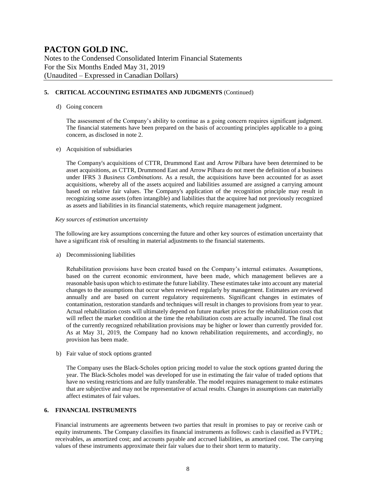Notes to the Condensed Consolidated Interim Financial Statements For the Six Months Ended May 31, 2019 (Unaudited – Expressed in Canadian Dollars)

#### **5. CRITICAL ACCOUNTING ESTIMATES AND JUDGMENTS** (Continued)

#### d) Going concern

The assessment of the Company's ability to continue as a going concern requires significant judgment. The financial statements have been prepared on the basis of accounting principles applicable to a going concern, as disclosed in note 2.

#### e) Acquisition of subsidiaries

The Company's acquisitions of CTTR, Drummond East and Arrow Pilbara have been determined to be asset acquisitions, as CTTR, Drummond East and Arrow Pilbara do not meet the definition of a business under IFRS 3 *Business Combinations*. As a result, the acquisitions have been accounted for as asset acquisitions, whereby all of the assets acquired and liabilities assumed are assigned a carrying amount based on relative fair values. The Company's application of the recognition principle may result in recognizing some assets (often intangible) and liabilities that the acquiree had not previously recognized as assets and liabilities in its financial statements, which require management judgment.

#### *Key sources of estimation uncertainty*

The following are key assumptions concerning the future and other key sources of estimation uncertainty that have a significant risk of resulting in material adjustments to the financial statements.

a) Decommissioning liabilities

Rehabilitation provisions have been created based on the Company's internal estimates. Assumptions, based on the current economic environment, have been made, which management believes are a reasonable basis upon which to estimate the future liability. These estimates take into account any material changes to the assumptions that occur when reviewed regularly by management. Estimates are reviewed annually and are based on current regulatory requirements. Significant changes in estimates of contamination, restoration standards and techniques will result in changes to provisions from year to year. Actual rehabilitation costs will ultimately depend on future market prices for the rehabilitation costs that will reflect the market condition at the time the rehabilitation costs are actually incurred. The final cost of the currently recognized rehabilitation provisions may be higher or lower than currently provided for. As at May 31, 2019, the Company had no known rehabilitation requirements, and accordingly, no provision has been made.

b) Fair value of stock options granted

The Company uses the Black-Scholes option pricing model to value the stock options granted during the year. The Black-Scholes model was developed for use in estimating the fair value of traded options that have no vesting restrictions and are fully transferable. The model requires management to make estimates that are subjective and may not be representative of actual results. Changes in assumptions can materially affect estimates of fair values.

#### **6. FINANCIAL INSTRUMENTS**

Financial instruments are agreements between two parties that result in promises to pay or receive cash or equity instruments. The Company classifies its financial instruments as follows: cash is classified as FVTPL; receivables, as amortized cost; and accounts payable and accrued liabilities, as amortized cost. The carrying values of these instruments approximate their fair values due to their short term to maturity.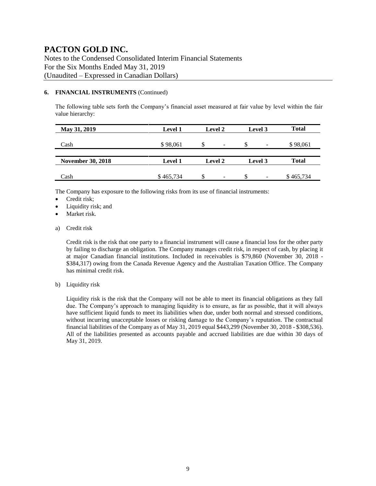Notes to the Condensed Consolidated Interim Financial Statements For the Six Months Ended May 31, 2019 (Unaudited – Expressed in Canadian Dollars)

#### **6. FINANCIAL INSTRUMENTS** (Continued)

The following table sets forth the Company's financial asset measured at fair value by level within the fair value hierarchy:

| May 31, 2019             | <b>Level 1</b> | <b>Level 2</b>                 | Level 3                        | <b>Total</b> |
|--------------------------|----------------|--------------------------------|--------------------------------|--------------|
| Cash                     | \$98,061       | S<br>$\overline{\phantom{a}}$  | S<br>$\overline{\phantom{a}}$  | \$98,061     |
| <b>November 30, 2018</b> | <b>Level 1</b> | Level 2                        | Level 3                        | <b>Total</b> |
| Cash                     | \$465,734      | \$<br>$\overline{\phantom{a}}$ | \$<br>$\overline{\phantom{a}}$ | \$465,734    |

The Company has exposure to the following risks from its use of financial instruments:

- Credit risk;
- Liquidity risk; and
- Market risk.
- a) Credit risk

Credit risk is the risk that one party to a financial instrument will cause a financial loss for the other party by failing to discharge an obligation. The Company manages credit risk, in respect of cash, by placing it at major Canadian financial institutions. Included in receivables is \$79,860 (November 30, 2018 - \$384,317) owing from the Canada Revenue Agency and the Australian Taxation Office. The Company has minimal credit risk.

b) Liquidity risk

Liquidity risk is the risk that the Company will not be able to meet its financial obligations as they fall due. The Company's approach to managing liquidity is to ensure, as far as possible, that it will always have sufficient liquid funds to meet its liabilities when due, under both normal and stressed conditions, without incurring unacceptable losses or risking damage to the Company's reputation. The contractual financial liabilities of the Company as of May 31, 2019 equal \$443,299 (November 30, 2018 - \$308,536). All of the liabilities presented as accounts payable and accrued liabilities are due within 30 days of May 31, 2019.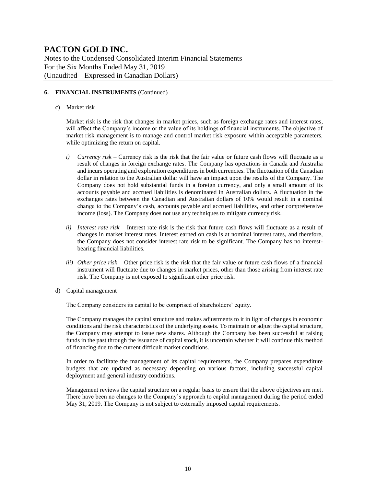Notes to the Condensed Consolidated Interim Financial Statements For the Six Months Ended May 31, 2019 (Unaudited – Expressed in Canadian Dollars)

#### **6. FINANCIAL INSTRUMENTS** (Continued)

c) Market risk

Market risk is the risk that changes in market prices, such as foreign exchange rates and interest rates, will affect the Company's income or the value of its holdings of financial instruments. The objective of market risk management is to manage and control market risk exposure within acceptable parameters, while optimizing the return on capital.

- *i) Currency risk –* Currency risk is the risk that the fair value or future cash flows will fluctuate as a result of changes in foreign exchange rates. The Company has operations in Canada and Australia and incurs operating and exploration expenditures in both currencies. The fluctuation of the Canadian dollar in relation to the Australian dollar will have an impact upon the results of the Company. The Company does not hold substantial funds in a foreign currency, and only a small amount of its accounts payable and accrued liabilities is denominated in Australian dollars. A fluctuation in the exchanges rates between the Canadian and Australian dollars of 10% would result in a nominal change to the Company's cash, accounts payable and accrued liabilities, and other comprehensive income (loss). The Company does not use any techniques to mitigate currency risk.
- *ii) Interest rate risk –* Interest rate risk is the risk that future cash flows will fluctuate as a result of changes in market interest rates. Interest earned on cash is at nominal interest rates, and therefore, the Company does not consider interest rate risk to be significant. The Company has no interestbearing financial liabilities.
- *iii) Other price risk –* Other price risk is the risk that the fair value or future cash flows of a financial instrument will fluctuate due to changes in market prices, other than those arising from interest rate risk. The Company is not exposed to significant other price risk.
- d) Capital management

The Company considers its capital to be comprised of shareholders' equity.

The Company manages the capital structure and makes adjustments to it in light of changes in economic conditions and the risk characteristics of the underlying assets. To maintain or adjust the capital structure, the Company may attempt to issue new shares. Although the Company has been successful at raising funds in the past through the issuance of capital stock, it is uncertain whether it will continue this method of financing due to the current difficult market conditions.

In order to facilitate the management of its capital requirements, the Company prepares expenditure budgets that are updated as necessary depending on various factors, including successful capital deployment and general industry conditions.

Management reviews the capital structure on a regular basis to ensure that the above objectives are met. There have been no changes to the Company's approach to capital management during the period ended May 31, 2019. The Company is not subject to externally imposed capital requirements.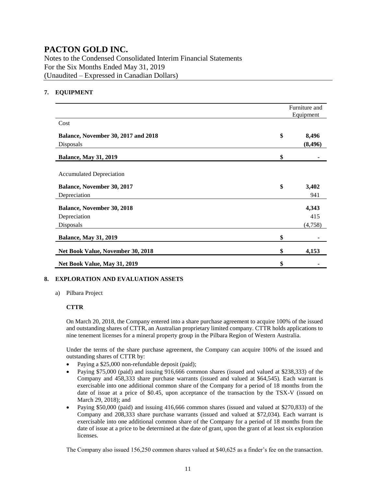Notes to the Condensed Consolidated Interim Financial Statements For the Six Months Ended May 31, 2019 (Unaudited – Expressed in Canadian Dollars)

#### **7. EQUIPMENT**

|                                            | Furniture and<br>Equipment |
|--------------------------------------------|----------------------------|
| Cost                                       |                            |
| <b>Balance, November 30, 2017 and 2018</b> | \$<br>8,496                |
| Disposals                                  | (8, 496)                   |
| <b>Balance, May 31, 2019</b>               | \$                         |
| <b>Accumulated Depreciation</b>            |                            |
| Balance, November 30, 2017                 | \$<br>3,402                |
| Depreciation                               | 941                        |
| <b>Balance, November 30, 2018</b>          | 4,343                      |
| Depreciation                               | 415                        |
| Disposals                                  | (4,758)                    |
| <b>Balance, May 31, 2019</b>               | \$                         |
| Net Book Value, November 30, 2018          | \$<br>4,153                |
| Net Book Value, May 31, 2019               | \$                         |

#### **8. EXPLORATION AND EVALUATION ASSETS**

a) Pilbara Project

#### **CTTR**

On March 20, 2018, the Company entered into a share purchase agreement to acquire 100% of the issued and outstanding shares of CTTR, an Australian proprietary limited company. CTTR holds applications to nine tenement licenses for a mineral property group in the Pilbara Region of Western Australia.

Under the terms of the share purchase agreement, the Company can acquire 100% of the issued and outstanding shares of CTTR by:

- Paying a \$25,000 non-refundable deposit (paid);
- Paying \$75,000 (paid) and issuing 916,666 common shares (issued and valued at \$238,333) of the Company and 458,333 share purchase warrants (issued and valued at \$64,545). Each warrant is exercisable into one additional common share of the Company for a period of 18 months from the date of issue at a price of \$0.45, upon acceptance of the transaction by the TSX-V (issued on March 29, 2018); and
- Paying \$50,000 (paid) and issuing 416,666 common shares (issued and valued at \$270,833) of the Company and 208,333 share purchase warrants (issued and valued at \$72,034). Each warrant is exercisable into one additional common share of the Company for a period of 18 months from the date of issue at a price to be determined at the date of grant, upon the grant of at least six exploration licenses.

The Company also issued 156,250 common shares valued at \$40,625 as a finder's fee on the transaction.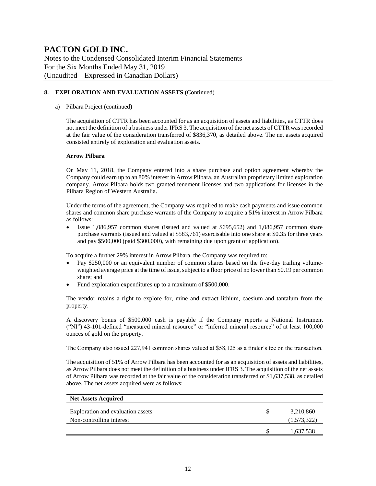Notes to the Condensed Consolidated Interim Financial Statements For the Six Months Ended May 31, 2019 (Unaudited – Expressed in Canadian Dollars)

#### **8. EXPLORATION AND EVALUATION ASSETS** (Continued)

#### a) Pilbara Project (continued)

The acquisition of CTTR has been accounted for as an acquisition of assets and liabilities, as CTTR does not meet the definition of a business under IFRS 3. The acquisition of the net assets of CTTR was recorded at the fair value of the consideration transferred of \$836,370, as detailed above. The net assets acquired consisted entirely of exploration and evaluation assets.

#### **Arrow Pilbara**

On May 11, 2018, the Company entered into a share purchase and option agreement whereby the Company could earn up to an 80% interest in Arrow Pilbara, an Australian proprietary limited exploration company. Arrow Pilbara holds two granted tenement licenses and two applications for licenses in the Pilbara Region of Western Australia.

Under the terms of the agreement, the Company was required to make cash payments and issue common shares and common share purchase warrants of the Company to acquire a 51% interest in Arrow Pilbara as follows:

• Issue 1,086,957 common shares (issued and valued at \$695,652) and 1,086,957 common share purchase warrants (issued and valued at \$583,761) exercisable into one share at \$0.35 for three years and pay \$500,000 (paid \$300,000), with remaining due upon grant of application).

To acquire a further 29% interest in Arrow Pilbara, the Company was required to:

- Pay \$250,000 or an equivalent number of common shares based on the five-day trailing volumeweighted average price at the time of issue, subject to a floor price of no lower than \$0.19 per common share; and
- Fund exploration expenditures up to a maximum of \$500,000.

The vendor retains a right to explore for, mine and extract lithium, caesium and tantalum from the property.

A discovery bonus of \$500,000 cash is payable if the Company reports a National Instrument ("NI") 43-101-defined "measured mineral resource" or "inferred mineral resource" of at least 100,000 ounces of gold on the property.

The Company also issued 227,941 common shares valued at \$58,125 as a finder's fee on the transaction.

The acquisition of 51% of Arrow Pilbara has been accounted for as an acquisition of assets and liabilities, as Arrow Pilbara does not meet the definition of a business under IFRS 3. The acquisition of the net assets of Arrow Pilbara was recorded at the fair value of the consideration transferred of \$1,637,538, as detailed above. The net assets acquired were as follows:

| <b>Net Assets Acquired</b>                                    |   |                          |
|---------------------------------------------------------------|---|--------------------------|
| Exploration and evaluation assets<br>Non-controlling interest | S | 3,210,860<br>(1,573,322) |
|                                                               | S | 1,637,538                |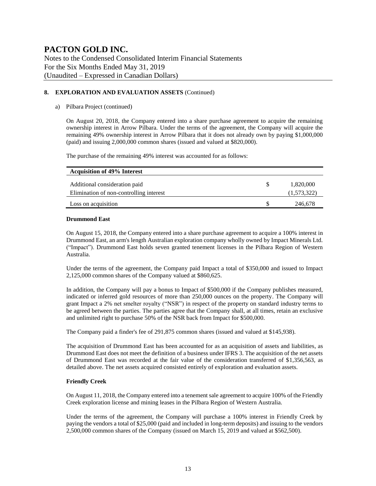Notes to the Condensed Consolidated Interim Financial Statements For the Six Months Ended May 31, 2019 (Unaudited – Expressed in Canadian Dollars)

#### **8. EXPLORATION AND EVALUATION ASSETS** (Continued)

#### a) Pilbara Project (continued)

On August 20, 2018, the Company entered into a share purchase agreement to acquire the remaining ownership interest in Arrow Pilbara. Under the terms of the agreement, the Company will acquire the remaining 49% ownership interest in Arrow Pilbara that it does not already own by paying \$1,000,000 (paid) and issuing 2,000,000 common shares (issued and valued at \$820,000).

The purchase of the remaining 49% interest was accounted for as follows:

| <b>Acquisition of 49% Interest</b>      |     |             |
|-----------------------------------------|-----|-------------|
| Additional consideration paid           | \$. | 1,820,000   |
| Elimination of non-controlling interest |     | (1,573,322) |
| Loss on acquisition                     |     | 246,678     |

#### **Drummond East**

On August 15, 2018, the Company entered into a share purchase agreement to acquire a 100% interest in Drummond East, an arm's length Australian exploration company wholly owned by Impact Minerals Ltd. ("Impact"). Drummond East holds seven granted tenement licenses in the Pilbara Region of Western Australia.

Under the terms of the agreement, the Company paid Impact a total of \$350,000 and issued to Impact 2,125,000 common shares of the Company valued at \$860,625.

In addition, the Company will pay a bonus to Impact of \$500,000 if the Company publishes measured, indicated or inferred gold resources of more than 250,000 ounces on the property. The Company will grant Impact a 2% net smelter royalty ("NSR") in respect of the property on standard industry terms to be agreed between the parties. The parties agree that the Company shall, at all times, retain an exclusive and unlimited right to purchase 50% of the NSR back from Impact for \$500,000.

The Company paid a finder's fee of 291,875 common shares (issued and valued at \$145,938).

The acquisition of Drummond East has been accounted for as an acquisition of assets and liabilities, as Drummond East does not meet the definition of a business under IFRS 3. The acquisition of the net assets of Drummond East was recorded at the fair value of the consideration transferred of \$1,356,563, as detailed above. The net assets acquired consisted entirely of exploration and evaluation assets.

#### **Friendly Creek**

On August 11, 2018, the Company entered into a tenement sale agreement to acquire 100% of the Friendly Creek exploration license and mining leases in the Pilbara Region of Western Australia.

Under the terms of the agreement, the Company will purchase a 100% interest in Friendly Creek by paying the vendors a total of \$25,000 (paid and included in long-term deposits) and issuing to the vendors 2,500,000 common shares of the Company (issued on March 15, 2019 and valued at \$562,500).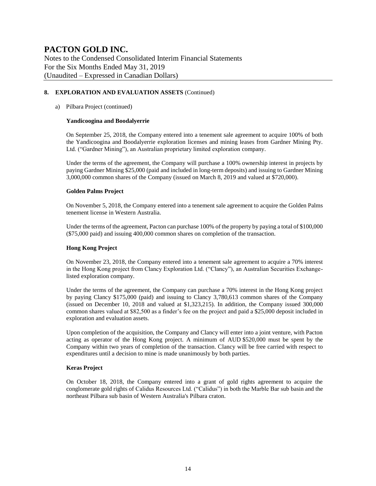Notes to the Condensed Consolidated Interim Financial Statements For the Six Months Ended May 31, 2019 (Unaudited – Expressed in Canadian Dollars)

#### **8. EXPLORATION AND EVALUATION ASSETS** (Continued)

#### a) Pilbara Project (continued)

#### **Yandicoogina and Boodalyerrie**

On September 25, 2018, the Company entered into a tenement sale agreement to acquire 100% of both the Yandicoogina and Boodalyerrie exploration licenses and mining leases from Gardner Mining Pty. Ltd. ("Gardner Mining"), an Australian proprietary limited exploration company.

Under the terms of the agreement, the Company will purchase a 100% ownership interest in projects by paying Gardner Mining \$25,000 (paid and included in long-term deposits) and issuing to Gardner Mining 3,000,000 common shares of the Company (issued on March 8, 2019 and valued at \$720,000).

#### **Golden Palms Project**

On November 5, 2018, the Company entered into a tenement sale agreement to acquire the Golden Palms tenement license in Western Australia.

Under the terms of the agreement, Pacton can purchase 100% of the property by paying a total of \$100,000 (\$75,000 paid) and issuing 400,000 common shares on completion of the transaction.

#### **Hong Kong Project**

On November 23, 2018, the Company entered into a tenement sale agreement to acquire a 70% interest in the Hong Kong project from Clancy Exploration Ltd. ("Clancy"), an Australian Securities Exchangelisted exploration company.

Under the terms of the agreement, the Company can purchase a 70% interest in the Hong Kong project by paying Clancy \$175,000 (paid) and issuing to Clancy 3,780,613 common shares of the Company (issued on December 10, 2018 and valued at \$1,323,215). In addition, the Company issued 300,000 common shares valued at \$82,500 as a finder's fee on the project and paid a \$25,000 deposit included in exploration and evaluation assets.

Upon completion of the acquisition, the Company and Clancy will enter into a joint venture, with Pacton acting as operator of the Hong Kong project. A minimum of AUD \$520,000 must be spent by the Company within two years of completion of the transaction. Clancy will be free carried with respect to expenditures until a decision to mine is made unanimously by both parties.

#### **Keras Project**

On October 18, 2018, the Company entered into a grant of gold rights agreement to acquire the conglomerate gold rights of Calidus Resources Ltd. ("Calidus") in both the Marble Bar sub basin and the northeast Pilbara sub basin of Western Australia's Pilbara craton.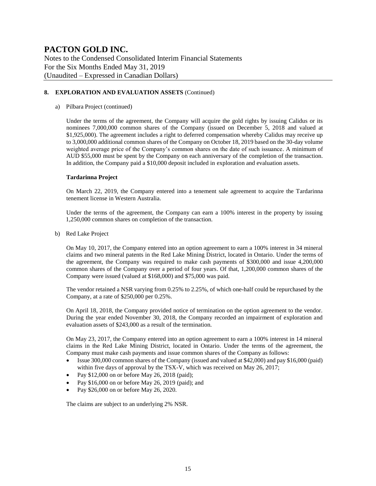Notes to the Condensed Consolidated Interim Financial Statements For the Six Months Ended May 31, 2019 (Unaudited – Expressed in Canadian Dollars)

#### **8. EXPLORATION AND EVALUATION ASSETS** (Continued)

#### a) Pilbara Project (continued)

Under the terms of the agreement, the Company will acquire the gold rights by issuing Calidus or its nominees 7,000,000 common shares of the Company (issued on December 5, 2018 and valued at \$1,925,000). The agreement includes a right to deferred compensation whereby Calidus may receive up to 3,000,000 additional common shares of the Company on October 18, 2019 based on the 30-day volume weighted average price of the Company's common shares on the date of such issuance. A minimum of AUD \$55,000 must be spent by the Company on each anniversary of the completion of the transaction. In addition, the Company paid a \$10,000 deposit included in exploration and evaluation assets.

#### **Tardarinna Project**

On March 22, 2019, the Company entered into a tenement sale agreement to acquire the Tardarinna tenement license in Western Australia.

Under the terms of the agreement, the Company can earn a 100% interest in the property by issuing 1,250,000 common shares on completion of the transaction.

b) Red Lake Project

On May 10, 2017, the Company entered into an option agreement to earn a 100% interest in 34 mineral claims and two mineral patents in the Red Lake Mining District, located in Ontario. Under the terms of the agreement, the Company was required to make cash payments of \$300,000 and issue 4,200,000 common shares of the Company over a period of four years. Of that, 1,200,000 common shares of the Company were issued (valued at \$168,000) and \$75,000 was paid.

The vendor retained a NSR varying from 0.25% to 2.25%, of which one-half could be repurchased by the Company, at a rate of \$250,000 per 0.25%.

On April 18, 2018, the Company provided notice of termination on the option agreement to the vendor. During the year ended November 30, 2018, the Company recorded an impairment of exploration and evaluation assets of \$243,000 as a result of the termination.

On May 23, 2017, the Company entered into an option agreement to earn a 100% interest in 14 mineral claims in the Red Lake Mining District, located in Ontario. Under the terms of the agreement, the Company must make cash payments and issue common shares of the Company as follows:

- Issue 300,000 common shares of the Company (issued and valued at \$42,000) and pay \$16,000 (paid) within five days of approval by the TSX-V, which was received on May 26, 2017;
- Pay  $$12,000$  on or before May 26, 2018 (paid);
- Pay \$16,000 on or before May 26, 2019 (paid); and
- Pay \$26,000 on or before May 26, 2020.

The claims are subject to an underlying 2% NSR.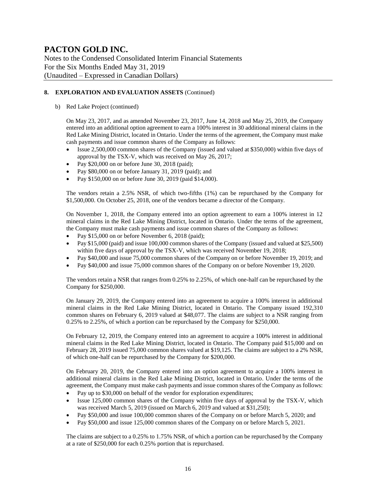Notes to the Condensed Consolidated Interim Financial Statements For the Six Months Ended May 31, 2019 (Unaudited – Expressed in Canadian Dollars)

#### **8. EXPLORATION AND EVALUATION ASSETS** (Continued)

b) Red Lake Project (continued)

On May 23, 2017, and as amended November 23, 2017, June 14, 2018 and May 25, 2019, the Company entered into an additional option agreement to earn a 100% interest in 30 additional mineral claims in the Red Lake Mining District, located in Ontario. Under the terms of the agreement, the Company must make cash payments and issue common shares of the Company as follows:

- Issue 2,500,000 common shares of the Company (issued and valued at \$350,000) within five days of approval by the TSX-V, which was received on May 26, 2017;
- Pay \$20,000 on or before June 30, 2018 (paid);
- Pay \$80,000 on or before January 31, 2019 (paid); and
- Pay \$150,000 on or before June 30, 2019 (paid \$14,000).

The vendors retain a 2.5% NSR, of which two-fifths (1%) can be repurchased by the Company for \$1,500,000. On October 25, 2018, one of the vendors became a director of the Company.

On November 1, 2018, the Company entered into an option agreement to earn a 100% interest in 12 mineral claims in the Red Lake Mining District, located in Ontario. Under the terms of the agreement, the Company must make cash payments and issue common shares of the Company as follows:

- Pay \$15,000 on or before November 6, 2018 (paid);
- Pay \$15,000 (paid) and issue 100,000 common shares of the Company (issued and valued at \$25,500) within five days of approval by the TSX-V, which was received November 19, 2018;
- Pay \$40,000 and issue 75,000 common shares of the Company on or before November 19, 2019; and
- Pay \$40,000 and issue 75,000 common shares of the Company on or before November 19, 2020.

The vendors retain a NSR that ranges from 0.25% to 2.25%, of which one-half can be repurchased by the Company for \$250,000.

On January 29, 2019, the Company entered into an agreement to acquire a 100% interest in additional mineral claims in the Red Lake Mining District, located in Ontario. The Company issued 192,310 common shares on February 6, 2019 valued at \$48,077. The claims are subject to a NSR ranging from 0.25% to 2.25%, of which a portion can be repurchased by the Company for \$250,000.

On February 12, 2019, the Company entered into an agreement to acquire a 100% interest in additional mineral claims in the Red Lake Mining District, located in Ontario. The Company paid \$15,000 and on February 28, 2019 issued 75,000 common shares valued at \$19,125. The claims are subject to a 2% NSR, of which one-half can be repurchased by the Company for \$200,000.

On February 20, 2019, the Company entered into an option agreement to acquire a 100% interest in additional mineral claims in the Red Lake Mining District, located in Ontario. Under the terms of the agreement, the Company must make cash payments and issue common shares of the Company as follows:

- Pay up to \$30,000 on behalf of the vendor for exploration expenditures;
- Issue 125,000 common shares of the Company within five days of approval by the TSX-V, which was received March 5, 2019 (issued on March 6, 2019 and valued at \$31,250);
- Pay \$50,000 and issue 100,000 common shares of the Company on or before March 5, 2020; and
- Pay \$50,000 and issue 125,000 common shares of the Company on or before March 5, 2021.

The claims are subject to a 0.25% to 1.75% NSR, of which a portion can be repurchased by the Company at a rate of \$250,000 for each 0.25% portion that is repurchased.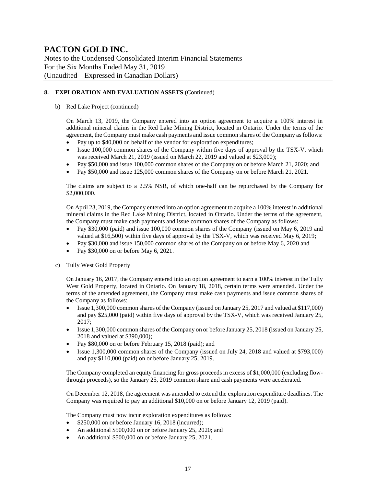Notes to the Condensed Consolidated Interim Financial Statements For the Six Months Ended May 31, 2019 (Unaudited – Expressed in Canadian Dollars)

#### **8. EXPLORATION AND EVALUATION ASSETS** (Continued)

#### b) Red Lake Project (continued)

On March 13, 2019, the Company entered into an option agreement to acquire a 100% interest in additional mineral claims in the Red Lake Mining District, located in Ontario. Under the terms of the agreement, the Company must make cash payments and issue common shares of the Company as follows:

- Pay up to \$40,000 on behalf of the vendor for exploration expenditures;
- Issue 100,000 common shares of the Company within five days of approval by the TSX-V, which was received March 21, 2019 (issued on March 22, 2019 and valued at \$23,000);
- Pay \$50,000 and issue 100,000 common shares of the Company on or before March 21, 2020; and
- Pay \$50,000 and issue 125,000 common shares of the Company on or before March 21, 2021.

The claims are subject to a 2.5% NSR, of which one-half can be repurchased by the Company for \$2,000,000.

On April 23, 2019, the Company entered into an option agreement to acquire a 100% interest in additional mineral claims in the Red Lake Mining District, located in Ontario. Under the terms of the agreement, the Company must make cash payments and issue common shares of the Company as follows:

- Pay \$30,000 (paid) and issue 100,000 common shares of the Company (issued on May 6, 2019 and valued at \$16,500) within five days of approval by the TSX-V, which was received May 6, 2019;
- Pay \$30,000 and issue 150,000 common shares of the Company on or before May 6, 2020 and
- Pay \$30,000 on or before May 6, 2021.
- c) Tully West Gold Property

On January 16, 2017, the Company entered into an option agreement to earn a 100% interest in the Tully West Gold Property, located in Ontario. On January 18, 2018, certain terms were amended. Under the terms of the amended agreement, the Company must make cash payments and issue common shares of the Company as follows:

- Issue 1,300,000 common shares of the Company (issued on January 25, 2017 and valued at \$117,000) and pay \$25,000 (paid) within five days of approval by the TSX-V, which was received January 25, 2017;
- Issue 1,300,000 common shares of the Company on or before January 25, 2018 (issued on January 25, 2018 and valued at \$390,000);
- Pay \$80,000 on or before February 15, 2018 (paid); and
- Issue 1,300,000 common shares of the Company (issued on July 24, 2018 and valued at \$793,000) and pay \$110,000 (paid) on or before January 25, 2019.

The Company completed an equity financing for gross proceeds in excess of \$1,000,000 (excluding flowthrough proceeds), so the January 25, 2019 common share and cash payments were accelerated.

On December 12, 2018, the agreement was amended to extend the exploration expenditure deadlines. The Company was required to pay an additional \$10,000 on or before January 12, 2019 (paid).

The Company must now incur exploration expenditures as follows:

- \$250,000 on or before January 16, 2018 (incurred);
- An additional \$500,000 on or before January 25, 2020; and
- An additional \$500,000 on or before January 25, 2021.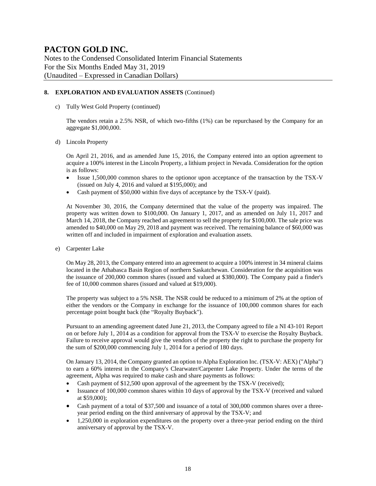Notes to the Condensed Consolidated Interim Financial Statements For the Six Months Ended May 31, 2019 (Unaudited – Expressed in Canadian Dollars)

#### **8. EXPLORATION AND EVALUATION ASSETS** (Continued)

c) Tully West Gold Property (continued)

The vendors retain a 2.5% NSR, of which two-fifths (1%) can be repurchased by the Company for an aggregate \$1,000,000.

d) Lincoln Property

On April 21, 2016, and as amended June 15, 2016, the Company entered into an option agreement to acquire a 100% interest in the Lincoln Property, a lithium project in Nevada. Consideration for the option is as follows:

- Issue 1,500,000 common shares to the optionor upon acceptance of the transaction by the TSX-V (issued on July 4, 2016 and valued at \$195,000); and
- Cash payment of \$50,000 within five days of acceptance by the TSX-V (paid).

At November 30, 2016, the Company determined that the value of the property was impaired. The property was written down to \$100,000. On January 1, 2017, and as amended on July 11, 2017 and March 14, 2018, the Company reached an agreement to sell the property for \$100,000. The sale price was amended to \$40,000 on May 29, 2018 and payment was received. The remaining balance of \$60,000 was written off and included in impairment of exploration and evaluation assets.

e) Carpenter Lake

On May 28, 2013, the Company entered into an agreement to acquire a 100% interest in 34 mineral claims located in the Athabasca Basin Region of northern Saskatchewan. Consideration for the acquisition was the issuance of 200,000 common shares (issued and valued at \$380,000). The Company paid a finder's fee of 10,000 common shares (issued and valued at \$19,000).

The property was subject to a 5% NSR. The NSR could be reduced to a minimum of 2% at the option of either the vendors or the Company in exchange for the issuance of 100,000 common shares for each percentage point bought back (the "Royalty Buyback").

Pursuant to an amending agreement dated June 21, 2013, the Company agreed to file a NI 43-101 Report on or before July 1, 2014 as a condition for approval from the TSX-V to exercise the Royalty Buyback. Failure to receive approval would give the vendors of the property the right to purchase the property for the sum of \$200,000 commencing July 1, 2014 for a period of 180 days.

On January 13, 2014, the Company granted an option to Alpha Exploration Inc. (TSX-V: AEX) ("Alpha") to earn a 60% interest in the Company's Clearwater/Carpenter Lake Property. Under the terms of the agreement, Alpha was required to make cash and share payments as follows:

- Cash payment of \$12,500 upon approval of the agreement by the TSX-V (received);
- Issuance of 100,000 common shares within 10 days of approval by the TSX-V (received and valued at \$59,000);
- Cash payment of a total of \$37,500 and issuance of a total of 300,000 common shares over a threeyear period ending on the third anniversary of approval by the TSX-V; and
- 1,250,000 in exploration expenditures on the property over a three-year period ending on the third anniversary of approval by the TSX-V.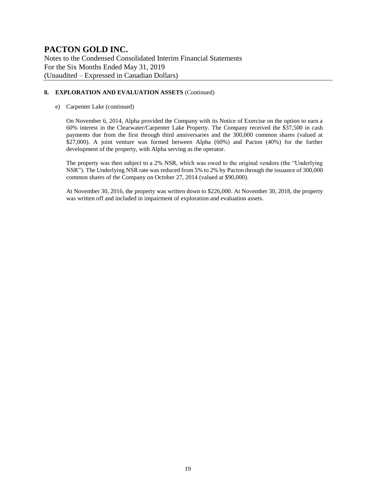Notes to the Condensed Consolidated Interim Financial Statements For the Six Months Ended May 31, 2019 (Unaudited – Expressed in Canadian Dollars)

#### **8. EXPLORATION AND EVALUATION ASSETS** (Continued)

#### e) Carpenter Lake (continued)

On November 6, 2014, Alpha provided the Company with its Notice of Exercise on the option to earn a 60% interest in the Clearwater/Carpenter Lake Property. The Company received the \$37,500 in cash payments due from the first through third anniversaries and the 300,000 common shares (valued at \$27,000). A joint venture was formed between Alpha (60%) and Pacton (40%) for the further development of the property, with Alpha serving as the operator.

The property was then subject to a 2% NSR, which was owed to the original vendors (the "Underlying NSR"). The Underlying NSR rate was reduced from 5% to 2% by Pacton through the issuance of 300,000 common shares of the Company on October 27, 2014 (valued at \$90,000).

At November 30, 2016, the property was written down to \$226,000. At November 30, 2018, the property was written off and included in impairment of exploration and evaluation assets.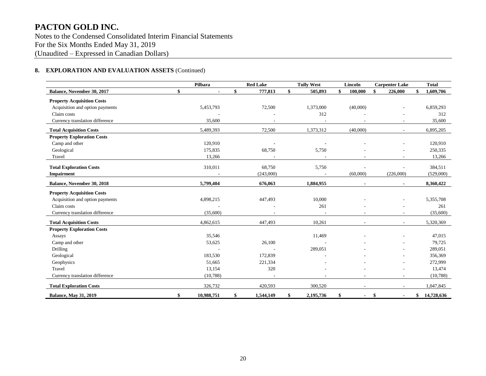Notes to the Condensed Consolidated Interim Financial Statements For the Six Months Ended May 31, 2019 (Unaudited – Expressed in Canadian Dollars)

#### **8. EXPLORATION AND EVALUATION ASSETS** (Continued)

|                                   | Pilbara              | <b>Red Lake</b> | <b>Tully West</b> |    | Lincoln  | <b>Carpenter Lake</b>    | <b>Total</b>     |
|-----------------------------------|----------------------|-----------------|-------------------|----|----------|--------------------------|------------------|
| Balance, November 30, 2017        | \$<br>$\blacksquare$ | \$<br>777,813   | \$<br>505,893     | \$ | 100,000  | \$<br>226,000            | \$<br>1,609,706  |
| <b>Property Acquisition Costs</b> |                      |                 |                   |    |          |                          |                  |
| Acquisition and option payments   | 5,453,793            | 72,500          | 1,373,000         |    | (40,000) |                          | 6,859,293        |
| Claim costs                       |                      |                 | 312               |    |          |                          | 312              |
| Currency translation difference   | 35,600               |                 |                   |    |          |                          | 35,600           |
| <b>Total Acquisition Costs</b>    | 5,489,393            | 72,500          | 1,373,312         |    | (40,000) | $\sim$                   | 6,895,205        |
| <b>Property Exploration Costs</b> |                      |                 |                   |    |          |                          |                  |
| Camp and other                    | 120,910              |                 |                   |    |          |                          | 120,910          |
| Geological                        | 175,835              | 68,750          | 5,750             |    |          |                          | 250,335          |
| Travel                            | 13,266               |                 |                   |    |          | $\overline{\phantom{a}}$ | 13,266           |
| <b>Total Exploration Costs</b>    | 310,011              | 68,750          | 5,750             |    |          |                          | 384,511          |
| Impairment                        |                      | (243,000)       |                   |    | (60,000) | (226,000)                | (529,000)        |
| <b>Balance, November 30, 2018</b> | 5,799,404            | 676,063         | 1,884,955         |    |          | $\blacksquare$           | 8,360,422        |
| <b>Property Acquisition Costs</b> |                      |                 |                   |    |          |                          |                  |
| Acquisition and option payments   | 4,898,215            | 447,493         | 10,000            |    |          |                          | 5,355,708        |
| Claim costs                       |                      |                 | 261               |    |          |                          | 261              |
| Currency translation difference   | (35,600)             |                 |                   |    |          |                          | (35,600)         |
| <b>Total Acquisition Costs</b>    | 4,862,615            | 447,493         | 10,261            |    |          | $\sim$                   | 5,320,369        |
| <b>Property Exploration Costs</b> |                      |                 |                   |    |          |                          |                  |
| Assays                            | 35,546               |                 | 11,469            |    |          |                          | 47,015           |
| Camp and other                    | 53,625               | 26,100          |                   |    |          |                          | 79,725           |
| <b>Drilling</b>                   |                      |                 | 289,051           |    |          |                          | 289,051          |
| Geological                        | 183,530              | 172,839         |                   |    |          |                          | 356,369          |
| Geophysics                        | 51,665               | 221,334         |                   |    |          |                          | 272,999          |
| Travel                            | 13,154               | 320             |                   |    |          |                          | 13,474           |
| Currency translation difference   | (10,788)             |                 |                   |    |          |                          | (10,788)         |
| <b>Total Exploration Costs</b>    | 326,732              | 420,593         | 300,520           |    |          |                          | 1,047,845        |
| <b>Balance, May 31, 2019</b>      | \$<br>10,988,751     | \$<br>1,544,149 | \$<br>2,195,736   | \$ |          | \$                       | \$<br>14,728,636 |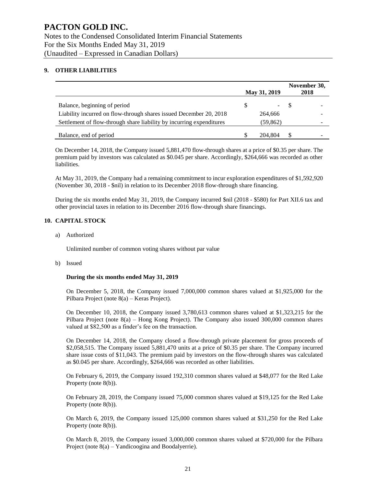#### **9. OTHER LIABILITIES**

|                                                                      |          | May 31, 2019 |       | November 30,<br>2018 |
|----------------------------------------------------------------------|----------|--------------|-------|----------------------|
| Balance, beginning of period                                         | <b>S</b> |              | $-$ S | -                    |
| Liability incurred on flow-through shares issued December 20, 2018   | 264,666  |              |       |                      |
| Settlement of flow-through share liability by incurring expenditures |          | (59, 862)    |       | -                    |
| Balance, end of period                                               |          | 204.804      |       |                      |

On December 14, 2018, the Company issued 5,881,470 flow-through shares at a price of \$0.35 per share. The premium paid by investors was calculated as \$0.045 per share. Accordingly, \$264,666 was recorded as other liabilities.

At May 31, 2019, the Company had a remaining commitment to incur exploration expenditures of \$1,592,920 (November 30, 2018 - \$nil) in relation to its December 2018 flow-through share financing.

During the six months ended May 31, 2019, the Company incurred \$nil (2018 - \$580) for Part XII.6 tax and other provincial taxes in relation to its December 2016 flow-through share financings.

#### **10. CAPITAL STOCK**

a) Authorized

Unlimited number of common voting shares without par value

b) Issued

#### **During the six months ended May 31, 2019**

On December 5, 2018, the Company issued 7,000,000 common shares valued at \$1,925,000 for the Pilbara Project (note 8(a) – Keras Project).

On December 10, 2018, the Company issued 3,780,613 common shares valued at \$1,323,215 for the Pilbara Project (note 8(a) – Hong Kong Project). The Company also issued 300,000 common shares valued at \$82,500 as a finder's fee on the transaction.

On December 14, 2018, the Company closed a flow-through private placement for gross proceeds of \$2,058,515. The Company issued 5,881,470 units at a price of \$0.35 per share. The Company incurred share issue costs of \$11,043. The premium paid by investors on the flow-through shares was calculated as \$0.045 per share. Accordingly, \$264,666 was recorded as other liabilities.

On February 6, 2019, the Company issued 192,310 common shares valued at \$48,077 for the Red Lake Property (note 8(b)).

On February 28, 2019, the Company issued 75,000 common shares valued at \$19,125 for the Red Lake Property (note 8(b)).

On March 6, 2019, the Company issued 125,000 common shares valued at \$31,250 for the Red Lake Property (note 8(b)).

On March 8, 2019, the Company issued 3,000,000 common shares valued at \$720,000 for the Pilbara Project (note 8(a) – Yandicoogina and Boodalyerrie).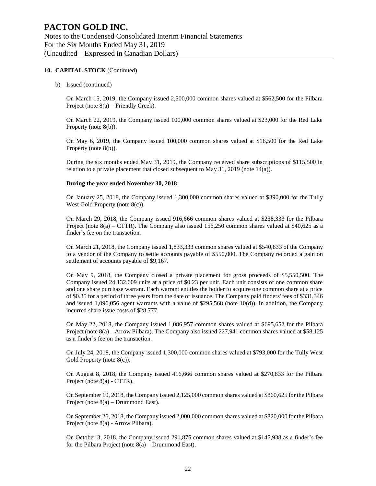b) Issued (continued)

On March 15, 2019, the Company issued 2,500,000 common shares valued at \$562,500 for the Pilbara Project (note 8(a) – Friendly Creek).

On March 22, 2019, the Company issued 100,000 common shares valued at \$23,000 for the Red Lake Property (note 8(b)).

On May 6, 2019, the Company issued 100,000 common shares valued at \$16,500 for the Red Lake Property (note 8(b)).

During the six months ended May 31, 2019, the Company received share subscriptions of \$115,500 in relation to a private placement that closed subsequent to May 31, 2019 (note 14(a)).

#### **During the year ended November 30, 2018**

On January 25, 2018, the Company issued 1,300,000 common shares valued at \$390,000 for the Tully West Gold Property (note 8(c)).

On March 29, 2018, the Company issued 916,666 common shares valued at \$238,333 for the Pilbara Project (note 8(a) – CTTR). The Company also issued 156,250 common shares valued at \$40,625 as a finder's fee on the transaction.

On March 21, 2018, the Company issued 1,833,333 common shares valued at \$540,833 of the Company to a vendor of the Company to settle accounts payable of \$550,000. The Company recorded a gain on settlement of accounts payable of \$9,167.

On May 9, 2018, the Company closed a private placement for gross proceeds of \$5,550,500. The Company issued 24,132,609 units at a price of \$0.23 per unit. Each unit consists of one common share and one share purchase warrant. Each warrant entitles the holder to acquire one common share at a price of \$0.35 for a period of three years from the date of issuance. The Company paid finders' fees of \$331,346 and issued 1,096,056 agent warrants with a value of \$295,568 (note 10(d)). In addition, the Company incurred share issue costs of \$28,777.

On May 22, 2018, the Company issued 1,086,957 common shares valued at \$695,652 for the Pilbara Project (note 8(a) – Arrow Pilbara). The Company also issued 227,941 common shares valued at \$58,125 as a finder's fee on the transaction.

On July 24, 2018, the Company issued 1,300,000 common shares valued at \$793,000 for the Tully West Gold Property (note 8(c)).

On August 8, 2018, the Company issued 416,666 common shares valued at \$270,833 for the Pilbara Project (note 8(a) - CTTR).

On September 10, 2018, the Company issued 2,125,000 common shares valued at \$860,625 for the Pilbara Project (note 8(a) – Drummond East).

On September 26, 2018, the Company issued 2,000,000 common shares valued at \$820,000 for the Pilbara Project (note 8(a) - Arrow Pilbara).

On October 3, 2018, the Company issued 291,875 common shares valued at \$145,938 as a finder's fee for the Pilbara Project (note 8(a) – Drummond East).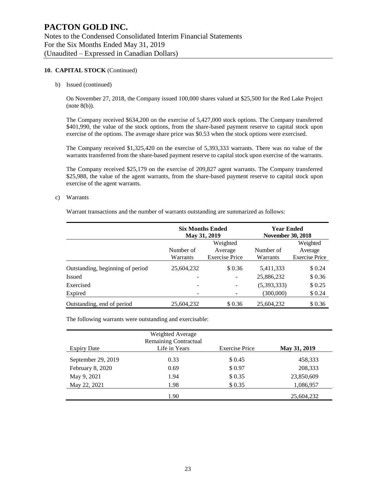b) Issued (continued)

On November 27, 2018, the Company issued 100,000 shares valued at \$25,500 for the Red Lake Project  $(note 8(b)).$ 

The Company received \$634,200 on the exercise of 5,427,000 stock options. The Company transferred \$401,990, the value of the stock options, from the share-based payment reserve to capital stock upon exercise of the options. The average share price was \$0.53 when the stock options were exercised.

The Company received \$1,325,420 on the exercise of 5,393,333 warrants. There was no value of the warrants transferred from the share-based payment reserve to capital stock upon exercise of the warrants.

The Company received \$25,179 on the exercise of 209,827 agent warrants. The Company transferred \$25,988, the value of the agent warrants, from the share-based payment reserve to capital stock upon exercise of the agent warrants.

c) Warrants

Warrant transactions and the number of warrants outstanding are summarized as follows:

|                                  |            | <b>Six Months Ended</b><br>May 31, 2019 | <b>Year Ended</b><br><b>November 30, 2018</b> |                       |  |
|----------------------------------|------------|-----------------------------------------|-----------------------------------------------|-----------------------|--|
|                                  |            | Weighted                                |                                               | Weighted              |  |
|                                  | Number of  | Average                                 | Number of                                     | Average               |  |
|                                  | Warrants   | <b>Exercise Price</b>                   | Warrants                                      | <b>Exercise Price</b> |  |
| Outstanding, beginning of period | 25,604,232 | \$0.36                                  | 5,411,333                                     | \$0.24                |  |
| Issued                           |            |                                         | 25,886,232                                    | \$0.36                |  |
| Exercised                        |            | $\overline{\phantom{0}}$                | (5,393,333)                                   | \$0.25                |  |
| Expired                          |            |                                         | (300,000)                                     | \$0.24                |  |
| Outstanding, end of period       | 25,604,232 | \$0.36                                  | 25,604,232                                    | \$0.36                |  |

The following warrants were outstanding and exercisable:

|                    | Weighted Average<br><b>Remaining Contractual</b> |                       |              |
|--------------------|--------------------------------------------------|-----------------------|--------------|
| <b>Expiry Date</b> | Life in Years                                    | <b>Exercise Price</b> | May 31, 2019 |
| September 29, 2019 | 0.33                                             | \$ 0.45               | 458,333      |
| February 8, 2020   | 0.69                                             | \$0.97                | 208,333      |
| May 9, 2021        | 1.94                                             | \$0.35                | 23,850,609   |
| May 22, 2021       | 1.98                                             | \$0.35                | 1,086,957    |
|                    | 1.90                                             |                       | 25,604,232   |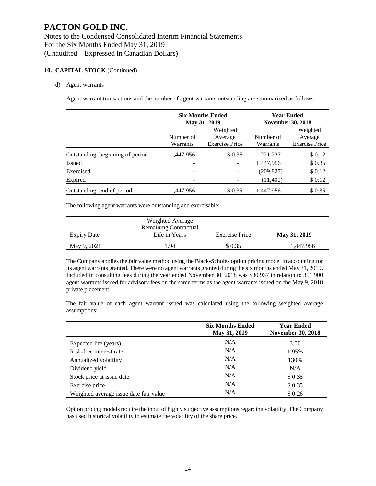#### d) Agent warrants

Agent warrant transactions and the number of agent warrants outstanding are summarized as follows:

|                                  |                       | <b>Six Months Ended</b><br>May 31, 2019      | <b>Year Ended</b><br><b>November 30, 2018</b> |                                              |  |
|----------------------------------|-----------------------|----------------------------------------------|-----------------------------------------------|----------------------------------------------|--|
|                                  | Number of<br>Warrants | Weighted<br>Average<br><b>Exercise Price</b> | Number of<br>Warrants                         | Weighted<br>Average<br><b>Exercise Price</b> |  |
| Outstanding, beginning of period | 1,447,956             | \$0.35                                       | 221,227                                       | \$0.12                                       |  |
| <b>Issued</b>                    |                       |                                              | 1,447,956                                     | \$0.35                                       |  |
| Exercised                        | -                     |                                              | (209, 827)                                    | \$0.12                                       |  |
| Expired                          |                       |                                              | (11,400)                                      | \$0.12                                       |  |
| Outstanding, end of period       | 1,447,956             | \$0.35                                       | 1.447.956                                     | \$0.35                                       |  |

The following agent warrants were outstanding and exercisable:

|             | Weighted Average                              |                       |              |
|-------------|-----------------------------------------------|-----------------------|--------------|
| Expiry Date | <b>Remaining Contractual</b><br>Life in Years | <b>Exercise Price</b> | May 31, 2019 |
| May 9, 2021 | 1.94                                          | \$ 0.35               | 1.447.956    |

The Company applies the fair value method using the Black-Scholes option pricing model in accounting for its agent warrants granted. There were no agent warrants granted during the six months ended May 31, 2019. Included in consulting fees during the year ended November 30, 2018 was \$80,937 in relation to 351,900 agent warrants issued for advisory fees on the same terms as the agent warrants issued on the May 9, 2018 private placement.

The fair value of each agent warrant issued was calculated using the following weighted average assumptions:

|                                        | <b>Six Months Ended</b><br>May 31, 2019 | <b>Year Ended</b><br><b>November 30, 2018</b> |
|----------------------------------------|-----------------------------------------|-----------------------------------------------|
| Expected life (years)                  | N/A                                     | 3.00                                          |
| Risk-free interest rate                | N/A                                     | 1.95%                                         |
| Annualized volatility                  | N/A                                     | 130%                                          |
| Dividend yield                         | N/A                                     | N/A                                           |
| Stock price at issue date              | N/A                                     | \$0.35                                        |
| Exercise price                         | N/A                                     | \$0.35                                        |
| Weighted average issue date fair value | N/A                                     | \$0.26                                        |

Option pricing models require the input of highly subjective assumptions regarding volatility. The Company has used historical volatility to estimate the volatility of the share price.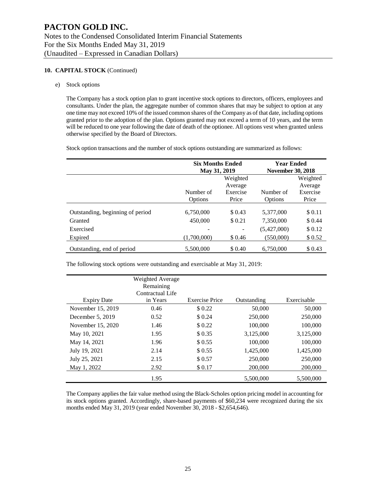#### e) Stock options

The Company has a stock option plan to grant incentive stock options to directors, officers, employees and consultants. Under the plan, the aggregate number of common shares that may be subject to option at any one time may not exceed 10% of the issued common shares of the Company as of that date, including options granted prior to the adoption of the plan. Options granted may not exceed a term of 10 years, and the term will be reduced to one year following the date of death of the optionee. All options vest when granted unless otherwise specified by the Board of Directors.

Stock option transactions and the number of stock options outstanding are summarized as follows:

|                                  | <b>Six Months Ended</b><br>May 31, 2019 |          | <b>Year Ended</b><br><b>November 30, 2018</b> |          |  |
|----------------------------------|-----------------------------------------|----------|-----------------------------------------------|----------|--|
|                                  |                                         | Weighted |                                               | Weighted |  |
|                                  |                                         |          | Average                                       |          |  |
|                                  | Number of                               | Exercise | Number of                                     | Exercise |  |
|                                  | Options                                 | Price    | Options                                       | Price    |  |
| Outstanding, beginning of period | 6,750,000                               | \$0.43   | 5,377,000                                     | \$0.11   |  |
| Granted                          | 450,000                                 | \$0.21   | 7,350,000                                     | \$0.44   |  |
| Exercised                        |                                         |          | (5,427,000)                                   | \$0.12   |  |
| Expired                          | (1.700.000)                             | \$0.46   | (550,000)                                     | \$0.52   |  |
| Outstanding, end of period       | 5,500,000                               | \$ 0.40  | 6.750,000                                     | \$ 0.43  |  |

The following stock options were outstanding and exercisable at May 31, 2019:

|                    | Weighted Average |                       |             |             |
|--------------------|------------------|-----------------------|-------------|-------------|
|                    | Remaining        |                       |             |             |
|                    | Contractual Life |                       |             |             |
| <b>Expiry Date</b> | in Years         | <b>Exercise Price</b> | Outstanding | Exercisable |
| November 15, 2019  | 0.46             | \$0.22                | 50,000      | 50,000      |
| December $5, 2019$ | 0.52             | \$ 0.24               | 250,000     | 250,000     |
| November 15, 2020  | 1.46             | \$0.22                | 100,000     | 100,000     |
| May 10, 2021       | 1.95             | \$0.35                | 3,125,000   | 3,125,000   |
| May 14, 2021       | 1.96             | \$0.55                | 100,000     | 100,000     |
| July 19, 2021      | 2.14             | \$ 0.55               | 1,425,000   | 1,425,000   |
| July 25, 2021      | 2.15             | \$ 0.57               | 250,000     | 250,000     |
| May 1, 2022        | 2.92             | \$0.17                | 200,000     | 200,000     |
|                    | 1.95             |                       | 5.500,000   | 5,500,000   |

The Company applies the fair value method using the Black-Scholes option pricing model in accounting for its stock options granted. Accordingly, share-based payments of \$60,234 were recognized during the six months ended May 31, 2019 (year ended November 30, 2018 - \$2,654,646).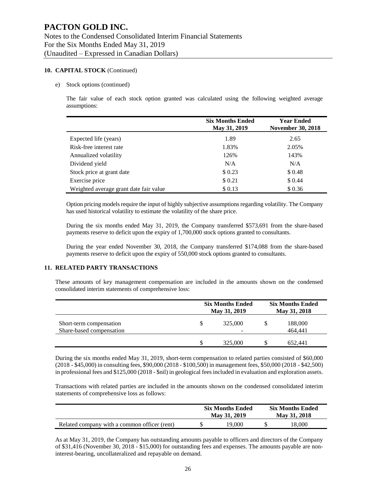#### e) Stock options (continued)

The fair value of each stock option granted was calculated using the following weighted average assumptions:

|                                        | <b>Six Months Ended</b><br>May 31, 2019 | <b>Year Ended</b><br><b>November 30, 2018</b> |
|----------------------------------------|-----------------------------------------|-----------------------------------------------|
| Expected life (years)                  | 1.89                                    | 2.65                                          |
| Risk-free interest rate                | 1.83%                                   | 2.05%                                         |
| Annualized volatility                  | 126%                                    | 143%                                          |
| Dividend yield                         | N/A                                     | N/A                                           |
| Stock price at grant date              | \$0.23                                  | \$0.48                                        |
| Exercise price                         | \$0.21                                  | \$0.44                                        |
| Weighted average grant date fair value | \$0.13                                  | \$0.36                                        |

Option pricing models require the input of highly subjective assumptions regarding volatility. The Company has used historical volatility to estimate the volatility of the share price.

During the six months ended May 31, 2019, the Company transferred \$573,691 from the share-based payments reserve to deficit upon the expiry of 1,700,000 stock options granted to consultants.

During the year ended November 30, 2018, the Company transferred \$174,088 from the share-based payments reserve to deficit upon the expiry of 550,000 stock options granted to consultants.

#### **11. RELATED PARTY TRANSACTIONS**

These amounts of key management compensation are included in the amounts shown on the condensed consolidated interim statements of comprehensive loss:

|                                                     |          | <b>Six Months Ended</b><br>May 31, 2019 | <b>Six Months Ended</b><br>May 31, 2018 |                    |  |
|-----------------------------------------------------|----------|-----------------------------------------|-----------------------------------------|--------------------|--|
| Short-term compensation<br>Share-based compensation | S        | 325,000<br>-                            |                                         | 188,000<br>464.441 |  |
|                                                     | <b>S</b> | 325,000                                 |                                         | 652.441            |  |

During the six months ended May 31, 2019, short-term compensation to related parties consisted of \$60,000 (2018 - \$45,000) in consulting fees, \$90,000 (2018 - \$100,500) in management fees, \$50,000 (2018 - \$42,500) in professional fees and \$125,000 (2018 - \$nil) in geological fees included in evaluation and exploration assets.

Transactions with related parties are included in the amounts shown on the condensed consolidated interim statements of comprehensive loss as follows:

|                                              | <b>Six Months Ended</b><br>May 31, 2019 | <b>Six Months Ended</b><br>May 31, 2018 |        |  |
|----------------------------------------------|-----------------------------------------|-----------------------------------------|--------|--|
| Related company with a common officer (rent) | 19.000                                  |                                         | 18.000 |  |

As at May 31, 2019, the Company has outstanding amounts payable to officers and directors of the Company of \$31,416 (November 30, 2018 - \$15,000) for outstanding fees and expenses. The amounts payable are noninterest-bearing, uncollateralized and repayable on demand.